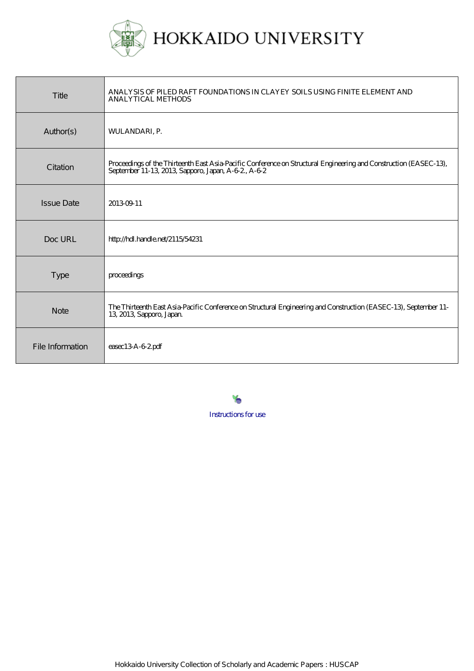

| Title             | ANALYSIS OF PILED RAFT FOUNDATIONS IN CLAYEY SOILS USING FINITE ELEMENT AND<br><b>ANALYTICAL METHODS</b>                                                               |
|-------------------|------------------------------------------------------------------------------------------------------------------------------------------------------------------------|
| Author(s)         | <b>WULANDARI, P.</b>                                                                                                                                                   |
| Citation          | Proceedings of the Thirteenth East Asia-Pacific Conference on Structural Engineering and Construction (EASEC-13),<br>September 11-13, 2013, Sapporo, Japan, A-62, A-62 |
| <b>Issue Date</b> | 20130911                                                                                                                                                               |
| Doc URL           | http://hdl.handle.net/2115/54231                                                                                                                                       |
| <b>Type</b>       | proceedings                                                                                                                                                            |
| <b>Note</b>       | The Thirteenth East Asia-Pacific Conference on Structural Engineering and Construction (EASEC-13), September 11-<br>13, 2013, Sapporo, Japan.                          |
| File Information  | $e$ asec $13A-62$ pdf                                                                                                                                                  |

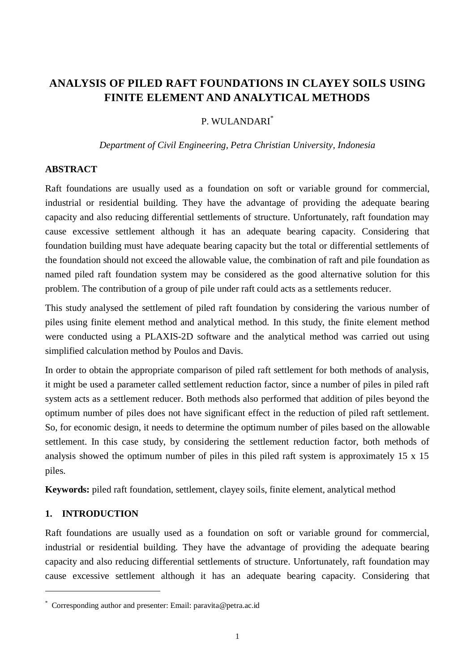# **ANALYSIS OF PILED RAFT FOUNDATIONS IN CLAYEY SOILS USING FINITE ELEMENT AND ANALYTICAL METHODS**

## P. WHLANDARI<sup>\*</sup>

#### *Department of Civil Engineering, Petra Christian University, Indonesia*

#### **ABSTRACT**

Raft foundations are usually used as a foundation on soft or variable ground for commercial, industrial or residential building. They have the advantage of providing the adequate bearing capacity and also reducing differential settlements of structure. Unfortunately, raft foundation may cause excessive settlement although it has an adequate bearing capacity. Considering that foundation building must have adequate bearing capacity but the total or differential settlements of the foundation should not exceed the allowable value, the combination of raft and pile foundation as named piled raft foundation system may be considered as the good alternative solution for this problem. The contribution of a group of pile under raft could acts as a settlements reducer.

This study analysed the settlement of piled raft foundation by considering the various number of piles using finite element method and analytical method. In this study, the finite element method were conducted using a PLAXIS-2D software and the analytical method was carried out using simplified calculation method by Poulos and Davis.

In order to obtain the appropriate comparison of piled raft settlement for both methods of analysis, it might be used a parameter called settlement reduction factor, since a number of piles in piled raft system acts as a settlement reducer. Both methods also performed that addition of piles beyond the optimum number of piles does not have significant effect in the reduction of piled raft settlement. So, for economic design, it needs to determine the optimum number of piles based on the allowable settlement. In this case study, by considering the settlement reduction factor, both methods of analysis showed the optimum number of piles in this piled raft system is approximately 15 x 15 piles.

**Keywords:** piled raft foundation, settlement, clayey soils, finite element, analytical method

#### **1. INTRODUCTION**

1

Raft foundations are usually used as a foundation on soft or variable ground for commercial, industrial or residential building. They have the advantage of providing the adequate bearing capacity and also reducing differential settlements of structure. Unfortunately, raft foundation may cause excessive settlement although it has an adequate bearing capacity. Considering that

<sup>\*</sup> Corresponding author and presenter: Email: paravita@petra.ac.id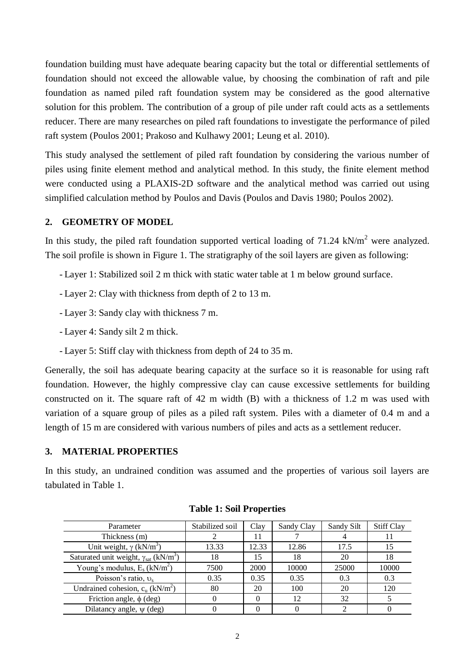foundation building must have adequate bearing capacity but the total or differential settlements of foundation should not exceed the allowable value, by choosing the combination of raft and pile foundation as named piled raft foundation system may be considered as the good alternative solution for this problem. The contribution of a group of pile under raft could acts as a settlements reducer. There are many researches on piled raft foundations to investigate the performance of piled raft system (Poulos 2001; Prakoso and Kulhawy 2001; Leung et al. 2010).

This study analysed the settlement of piled raft foundation by considering the various number of piles using finite element method and analytical method. In this study, the finite element method were conducted using a PLAXIS-2D software and the analytical method was carried out using simplified calculation method by Poulos and Davis (Poulos and Davis 1980; Poulos 2002).

## **2. GEOMETRY OF MODEL**

In this study, the piled raft foundation supported vertical loading of  $71.24 \text{ kN/m}^2$  were analyzed. The soil profile is shown in [Figure 1.](#page-3-0) The stratigraphy of the soil layers are given as following:

- Layer 1: Stabilized soil 2 m thick with static water table at 1 m below ground surface.
- Layer 2: Clay with thickness from depth of 2 to 13 m.
- Layer 3: Sandy clay with thickness 7 m.
- Layer 4: Sandy silt 2 m thick.
- Layer 5: Stiff clay with thickness from depth of 24 to 35 m.

Generally, the soil has adequate bearing capacity at the surface so it is reasonable for using raft foundation. However, the highly compressive clay can cause excessive settlements for building constructed on it. The square raft of 42 m width (B) with a thickness of 1.2 m was used with variation of a square group of piles as a piled raft system. Piles with a diameter of 0.4 m and a length of 15 m are considered with various numbers of piles and acts as a settlement reducer.

#### **3. MATERIAL PROPERTIES**

<span id="page-2-0"></span>In this study, an undrained condition was assumed and the properties of various soil layers are tabulated in [Table 1.](#page-2-0)

| Parameter                                                         | Stabilized soil | Clay  | Sandy Clay | Sandy Silt | <b>Stiff Clay</b> |
|-------------------------------------------------------------------|-----------------|-------|------------|------------|-------------------|
| Thickness (m)                                                     |                 |       |            |            |                   |
| Unit weight, $\gamma$ (kN/m <sup>3</sup> )                        | 13.33           | 12.33 | 12.86      | 17.5       | 15                |
| Saturated unit weight, $\gamma_{\text{sat}}$ (kN/m <sup>3</sup> ) | 18              | 15    | 18         | 20         | 18                |
| Young's modulus, $E_s$ (kN/m <sup>2</sup> )                       | 7500            | 2000  | 10000      | 25000      | 10000             |
| Poisson's ratio, $v_s$                                            | 0.35            | 0.35  | 0.35       | 0.3        | 0.3               |
| Undrained cohesion, $c_u$ (kN/m <sup>2</sup> )                    | 80              | 20    | 100        | 20         | 120               |
| Friction angle, $\phi$ (deg)                                      |                 |       | 12         | 32         |                   |
| Dilatancy angle, $\psi$ (deg)                                     |                 |       |            |            |                   |

| <b>Table 1: Soil Properties</b> |  |
|---------------------------------|--|
|---------------------------------|--|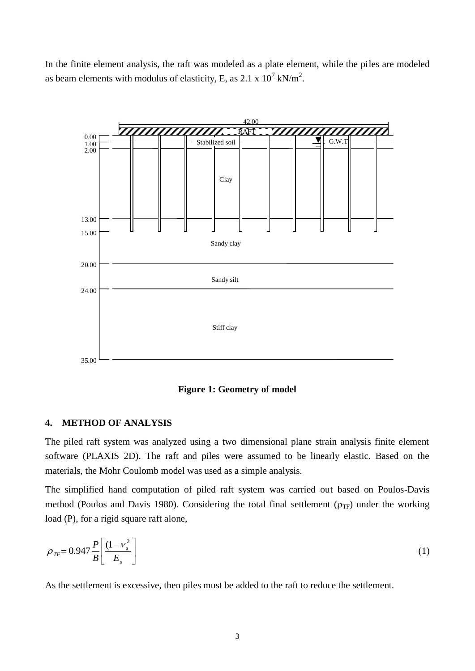In the finite element analysis, the raft was modeled as a plate element, while the piles are modeled as beam elements with modulus of elasticity, E, as 2.1 x  $10^7$  kN/m<sup>2</sup>.



**Figure 1: Geometry of model**

#### <span id="page-3-0"></span>**4. METHOD OF ANALYSIS**

The piled raft system was analyzed using a two dimensional plane strain analysis finite element software (PLAXIS 2D). The raft and piles were assumed to be linearly elastic. Based on the materials, the Mohr Coulomb model was used as a simple analysis.

The simplified hand computation of piled raft system was carried out based on Poulos-Davis method (Poulos and Davis 1980). Considering the total final settlement ( $\rho_{TF}$ ) under the working load (P), for a rigid square raft alone,

$$
\rho_{TF} = 0.947 \frac{P}{B} \left[ \frac{(1 - v_s^2)}{E_s} \right] \tag{1}
$$

As the settlement is excessive, then piles must be added to the raft to reduce the settlement.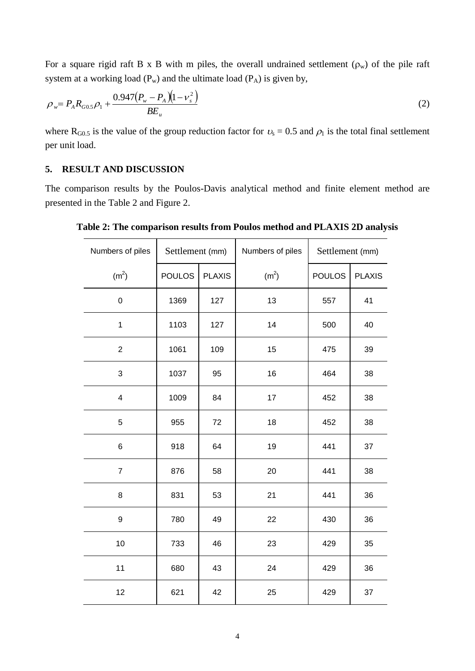For a square rigid raft B x B with m piles, the overall undrained settlement  $(\rho_w)$  of the pile raft system at a working load  $(P_w)$  and the ultimate load  $(P_A)$  is given by,

$$
\rho_w = P_A R_{G0.5} \rho_1 + \frac{0.947 (P_w - P_A)(1 - v_s^2)}{BE_u}
$$
\n(2)

where R<sub>G0.5</sub> is the value of the group reduction factor for  $v_s = 0.5$  and  $\rho_1$  is the total final settlement per unit load.

## **5. RESULT AND DISCUSSION**

<span id="page-4-0"></span>The comparison results by the Poulos-Davis analytical method and finite element method are presented in the [Table 2](#page-4-0) and [Figure 2.](#page-5-0)

| Numbers of piles  | Settlement (mm) |               | Numbers of piles  | Settlement (mm) |               |
|-------------------|-----------------|---------------|-------------------|-----------------|---------------|
| (m <sup>2</sup> ) | <b>POULOS</b>   | <b>PLAXIS</b> | (m <sup>2</sup> ) | <b>POULOS</b>   | <b>PLAXIS</b> |
| $\mathbf 0$       | 1369            | 127           | 13                | 557             | 41            |
| $\mathbf 1$       | 1103            | 127           | 14                | 500             | 40            |
| $\overline{c}$    | 1061            | 109           | 15                | 475             | 39            |
| 3                 | 1037            | 95            | 16                | 464             | 38            |
| 4                 | 1009            | 84            | 17                | 452             | 38            |
| 5                 | 955             | 72            | 18                | 452             | 38            |
| 6                 | 918             | 64            | 19                | 441             | 37            |
| $\overline{7}$    | 876             | 58            | 20                | 441             | 38            |
| 8                 | 831             | 53            | 21                | 441             | 36            |
| 9                 | 780             | 49            | 22                | 430             | 36            |
| 10                | 733             | 46            | 23                | 429             | 35            |
| 11                | 680             | 43            | 24                | 429             | 36            |
| 12                | 621             | 42            | 25                | 429             | 37            |

**Table 2: The comparison results from Poulos method and PLAXIS 2D analysis**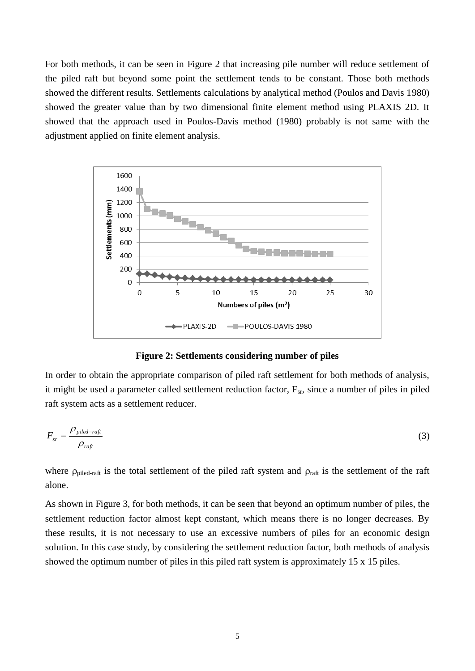For both methods, it can be seen in [Figure 2](#page-5-0) that increasing pile number will reduce settlement of the piled raft but beyond some point the settlement tends to be constant. Those both methods showed the different results. Settlements calculations by analytical method (Poulos and Davis 1980) showed the greater value than by two dimensional finite element method using PLAXIS 2D. It showed that the approach used in Poulos-Davis method (1980) probably is not same with the adjustment applied on finite element analysis.





<span id="page-5-0"></span>In order to obtain the appropriate comparison of piled raft settlement for both methods of analysis, it might be used a parameter called settlement reduction factor,  $F_{sr}$ , since a number of piles in piled raft system acts as a settlement reducer.

$$
F_{sr} = \frac{\rho_{piled-raf}}{\rho_{raft}}\tag{3}
$$

where  $\rho_{\text{piled-raft}}$  is the total settlement of the piled raft system and  $\rho_{\text{raft}}$  is the settlement of the raft alone.

As shown in [Figure 3,](#page-6-0) for both methods, it can be seen that beyond an optimum number of piles, the settlement reduction factor almost kept constant, which means there is no longer decreases. By these results, it is not necessary to use an excessive numbers of piles for an economic design solution. In this case study, by considering the settlement reduction factor, both methods of analysis showed the optimum number of piles in this piled raft system is approximately 15 x 15 piles.